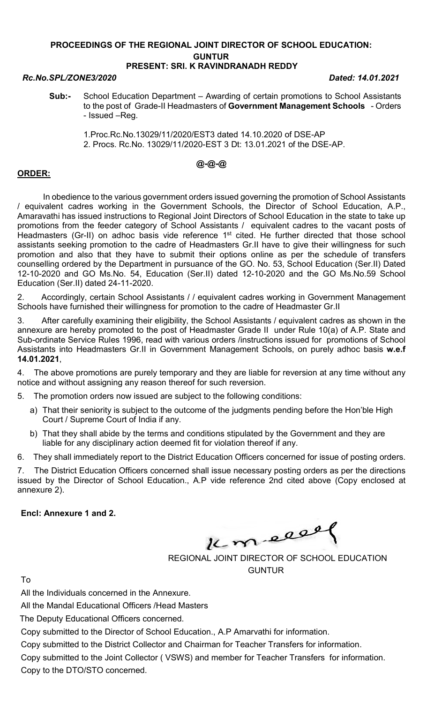#### PROCEEDINGS OF THE REGIONAL JOINT DIRECTOR OF SCHOOL EDUCATION: GUNTUR PRESENT: SRI. K RAVINDRANADH REDDY

# Rc.No.SPL/ZONE3/2020 Dated: 14.01.2021

- Sub:- School Education Department Awarding of certain promotions to School Assistants to the post of Grade-II Headmasters of Government Management Schools - Orders - Issued –Reg.
	- 1.Proc.Rc.No.13029/11/2020/EST3 dated 14.10.2020 of DSE-AP 2. Procs. Rc.No. 13029/11/2020-EST 3 Dt: 13.01.2021 of the DSE-AP.

### @-@-@

### ORDER:

 In obedience to the various government orders issued governing the promotion of School Assistants / equivalent cadres working in the Government Schools, the Director of School Education, A.P., Amaravathi has issued instructions to Regional Joint Directors of School Education in the state to take up promotions from the feeder category of School Assistants / equivalent cadres to the vacant posts of Headmasters (Gr-II) on adhoc basis vide reference 1<sup>st</sup> cited. He further directed that those school assistants seeking promotion to the cadre of Headmasters Gr.II have to give their willingness for such promotion and also that they have to submit their options online as per the schedule of transfers counselling ordered by the Department in pursuance of the GO. No. 53, School Education (Ser.II) Dated 12-10-2020 and GO Ms.No. 54, Education (Ser.II) dated 12-10-2020 and the GO Ms.No.59 School Education (Ser.II) dated 24-11-2020.

2. Accordingly, certain School Assistants / / equivalent cadres working in Government Management Schools have furnished their willingness for promotion to the cadre of Headmaster Gr.II

3. After carefully examining their eligibility, the School Assistants / equivalent cadres as shown in the annexure are hereby promoted to the post of Headmaster Grade II under Rule 10(a) of A.P. State and Sub-ordinate Service Rules 1996, read with various orders /instructions issued for promotions of School Assistants into Headmasters Gr.II in Government Management Schools, on purely adhoc basis w.e.f 14.01.2021,

4. The above promotions are purely temporary and they are liable for reversion at any time without any notice and without assigning any reason thereof for such reversion.

5. The promotion orders now issued are subject to the following conditions:

- a) That their seniority is subject to the outcome of the judgments pending before the Hon'ble High Court / Supreme Court of India if any.
- b) That they shall abide by the terms and conditions stipulated by the Government and they are liable for any disciplinary action deemed fit for violation thereof if any.

6. They shall immediately report to the District Education Officers concerned for issue of posting orders.

7. The District Education Officers concerned shall issue necessary posting orders as per the directions issued by the Director of School Education., A.P vide reference 2nd cited above (Copy enclosed at annexure 2).

Encl: Annexure 1 and 2.

Km elle

REGIONAL JOINT DIRECTOR OF SCHOOL EDUCATION GUNTUR

To

All the Individuals concerned in the Annexure.

All the Mandal Educational Officers /Head Masters

The Deputy Educational Officers concerned.

Copy submitted to the Director of School Education., A.P Amarvathi for information.

Copy submitted to the District Collector and Chairman for Teacher Transfers for information.

Copy submitted to the Joint Collector ( VSWS) and member for Teacher Transfers for information. Copy to the DTO/STO concerned.